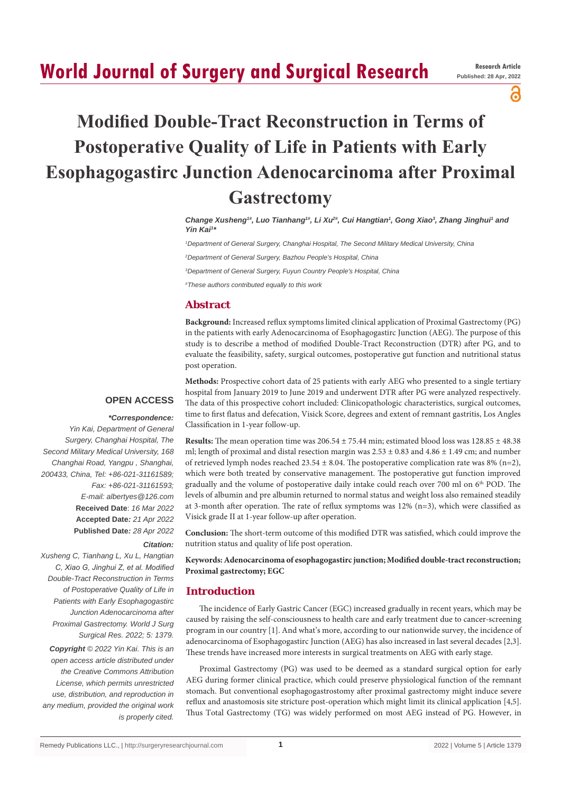## **World Journal of Surgery and Surgical Research**

႕

# **Modified Double-Tract Reconstruction in Terms of Postoperative Quality of Life in Patients with Early Esophagogastirc Junction Adenocarcinoma after Proximal Gastrectomy**

Change Xusheng<sup>#</sup>, Luo Tianhang<sup>#</sup>, Li Xu<sup>2#</sup>, Cui Hangtian<sup>1</sup>, Gong Xiao<sup>3</sup>, Zhang Jinghui<sup>1</sup> and *Yin Kai1 \**

*1 Department of General Surgery, Changhai Hospital, The Second Military Medical University, China*

*2 Department of General Surgery, Bazhou People's Hospital, China*

*3 Department of General Surgery, Fuyun Country People's Hospital, China*

*# These authors contributed equally to this work*

## **Abstract**

**Background:** Increased reflux symptoms limited clinical application of Proximal Gastrectomy (PG) in the patients with early Adenocarcinoma of Esophagogastirc Junction (AEG). The purpose of this study is to describe a method of modified Double-Tract Reconstruction (DTR) after PG, and to evaluate the feasibility, safety, surgical outcomes, postoperative gut function and nutritional status post operation.

## **OPEN ACCESS**

## *\*Correspondence:*

*Yin Kai, Department of General Surgery, Changhai Hospital, The Second Military Medical University, 168 Changhai Road, Yangpu , Shanghai, 200433, China, Tel: +86-021-31161589; Fax: +86-021-31161593; E-mail: albertyes@126.com* **Received Date**: *16 Mar 2022* **Accepted Date***: 21 Apr 2022* **Published Date***: 28 Apr 2022*

*Citation:* 

*Xusheng C, Tianhang L, Xu L, Hangtian C, Xiao G, Jinghui Z, et al. Modified Double-Tract Reconstruction in Terms of Postoperative Quality of Life in Patients with Early Esophagogastirc Junction Adenocarcinoma after Proximal Gastrectomy. World J Surg Surgical Res. 2022; 5: 1379.*

*Copyright © 2022 Yin Kai. This is an open access article distributed under the Creative Commons Attribution License, which permits unrestricted use, distribution, and reproduction in any medium, provided the original work is properly cited.*

**Methods:** Prospective cohort data of 25 patients with early AEG who presented to a single tertiary hospital from January 2019 to June 2019 and underwent DTR after PG were analyzed respectively. The data of this prospective cohort included: Clinicopathologic characteristics, surgical outcomes, time to first flatus and defecation, Visick Score, degrees and extent of remnant gastritis, Los Angles Classification in 1-year follow-up.

**Results:** The mean operation time was  $206.54 \pm 75.44$  min; estimated blood loss was  $128.85 \pm 48.38$ ml; length of proximal and distal resection margin was  $2.53 \pm 0.83$  and  $4.86 \pm 1.49$  cm; and number of retrieved lymph nodes reached  $23.54 \pm 8.04$ . The postoperative complication rate was 8% (n=2), which were both treated by conservative management. The postoperative gut function improved gradually and the volume of postoperative daily intake could reach over 700 ml on 6<sup>th</sup> POD. The levels of albumin and pre albumin returned to normal status and weight loss also remained steadily at 3-month after operation. The rate of reflux symptoms was 12% (n=3), which were classified as Visick grade II at 1-year follow-up after operation.

**Conclusion:** The short-term outcome of this modified DTR was satisfied, which could improve the nutrition status and quality of life post operation.

**Keywords: Adenocarcinoma of esophagogastirc junction; Modified double-tract reconstruction; Proximal gastrectomy; EGC**

## **Introduction**

The incidence of Early Gastric Cancer (EGC) increased gradually in recent years, which may be caused by raising the self-consciousness to health care and early treatment due to cancer-screening program in our country [1]. And what's more, according to our nationwide survey, the incidence of adenocarcinoma of Esophagogastirc Junction (AEG) has also increased in last several decades [2,3]. These trends have increased more interests in surgical treatments on AEG with early stage.

Proximal Gastrectomy (PG) was used to be deemed as a standard surgical option for early AEG during former clinical practice, which could preserve physiological function of the remnant stomach. But conventional esophagogastrostomy after proximal gastrectomy might induce severe reflux and anastomosis site stricture post-operation which might limit its clinical application [4,5]. Thus Total Gastrectomy (TG) was widely performed on most AEG instead of PG. However, in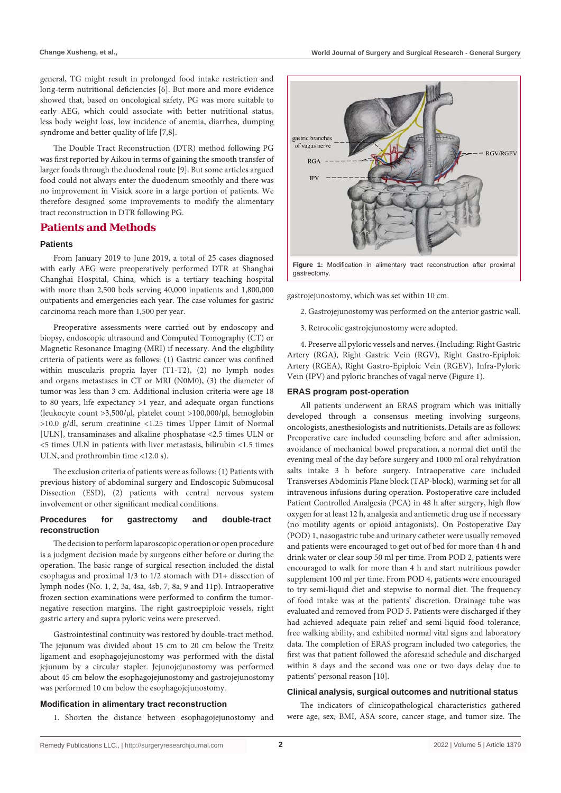general, TG might result in prolonged food intake restriction and long-term nutritional deficiencies [6]. But more and more evidence showed that, based on oncological safety, PG was more suitable to early AEG, which could associate with better nutritional status, less body weight loss, low incidence of anemia, diarrhea, dumping syndrome and better quality of life [7,8].

The Double Tract Reconstruction (DTR) method following PG was first reported by Aikou in terms of gaining the smooth transfer of larger foods through the duodenal route [9]. But some articles argued food could not always enter the duodenum smoothly and there was no improvement in Visick score in a large portion of patients. We therefore designed some improvements to modify the alimentary tract reconstruction in DTR following PG.

#### **Patients and Methods**

## **Patients**

From January 2019 to June 2019, a total of 25 cases diagnosed with early AEG were preoperatively performed DTR at Shanghai Changhai Hospital, China, which is a tertiary teaching hospital with more than 2,500 beds serving 40,000 inpatients and 1,800,000 outpatients and emergencies each year. The case volumes for gastric carcinoma reach more than 1,500 per year.

Preoperative assessments were carried out by endoscopy and biopsy, endoscopic ultrasound and Computed Tomography (CT) or Magnetic Resonance Imaging (MRI) if necessary. And the eligibility criteria of patients were as follows: (1) Gastric cancer was confined within muscularis propria layer (T1-T2), (2) no lymph nodes and organs metastases in CT or MRI (N0M0), (3) the diameter of tumor was less than 3 cm. Additional inclusion criteria were age 18 to 80 years, life expectancy >1 year, and adequate organ functions (leukocyte count >3,500/μl, platelet count >100,000/μl, hemoglobin >10.0 g/dl, serum creatinine <1.25 times Upper Limit of Normal [ULN], transaminases and alkaline phosphatase <2.5 times ULN or <5 times ULN in patients with liver metastasis, bilirubin <1.5 times ULN, and prothrombin time <12.0 s).

The exclusion criteria of patients were as follows: (1) Patients with previous history of abdominal surgery and Endoscopic Submucosal Dissection (ESD), (2) patients with central nervous system involvement or other significant medical conditions.

## **Procedures for gastrectomy and double-tract reconstruction**

The decision to perform laparoscopic operation or open procedure is a judgment decision made by surgeons either before or during the operation. The basic range of surgical resection included the distal esophagus and proximal 1/3 to 1/2 stomach with D1+ dissection of lymph nodes (No. 1, 2, 3a, 4sa, 4sb, 7, 8a, 9 and 11p). Intraoperative frozen section examinations were performed to confirm the tumornegative resection margins. The right gastroepiploic vessels, right gastric artery and supra pyloric veins were preserved.

Gastrointestinal continuity was restored by double-tract method. The jejunum was divided about 15 cm to 20 cm below the Treitz ligament and esophagojejunostomy was performed with the distal jejunum by a circular stapler. Jejunojejunostomy was performed about 45 cm below the esophagojejunostomy and gastrojejunostomy was performed 10 cm below the esophagojejunostomy.

#### **Modification in alimentary tract reconstruction**

1. Shorten the distance between esophagojejunostomy and



gastrojejunostomy, which was set within 10 cm.

- 2. Gastrojejunostomy was performed on the anterior gastric wall.
- 3. Retrocolic gastrojejunostomy were adopted.

4. Preserve all pyloric vessels and nerves. (Including: Right Gastric Artery (RGA), Right Gastric Vein (RGV), Right Gastro-Epiploic Artery (RGEA), Right Gastro-Epiploic Vein (RGEV), Infra-Pyloric Vein (IPV) and pyloric branches of vagal nerve (Figure 1).

#### **ERAS program post-operation**

All patients underwent an ERAS program which was initially developed through a consensus meeting involving surgeons, oncologists, anesthesiologists and nutritionists. Details are as follows: Preoperative care included counseling before and after admission, avoidance of mechanical bowel preparation, a normal diet until the evening meal of the day before surgery and 1000 ml oral rehydration salts intake 3 h before surgery. Intraoperative care included Transverses Abdominis Plane block (TAP-block), warming set for all intravenous infusions during operation. Postoperative care included Patient Controlled Analgesia (PCA) in 48 h after surgery, high flow oxygen for at least 12 h, analgesia and antiemetic drug use if necessary (no motility agents or opioid antagonists). On Postoperative Day (POD) 1, nasogastric tube and urinary catheter were usually removed and patients were encouraged to get out of bed for more than 4 h and drink water or clear soup 50 ml per time. From POD 2, patients were encouraged to walk for more than 4 h and start nutritious powder supplement 100 ml per time. From POD 4, patients were encouraged to try semi-liquid diet and stepwise to normal diet. The frequency of food intake was at the patients' discretion. Drainage tube was evaluated and removed from POD 5. Patients were discharged if they had achieved adequate pain relief and semi-liquid food tolerance, free walking ability, and exhibited normal vital signs and laboratory data. The completion of ERAS program included two categories, the first was that patient followed the aforesaid schedule and discharged within 8 days and the second was one or two days delay due to patients' personal reason [10].

#### **Clinical analysis, surgical outcomes and nutritional status**

The indicators of clinicopathological characteristics gathered were age, sex, BMI, ASA score, cancer stage, and tumor size. The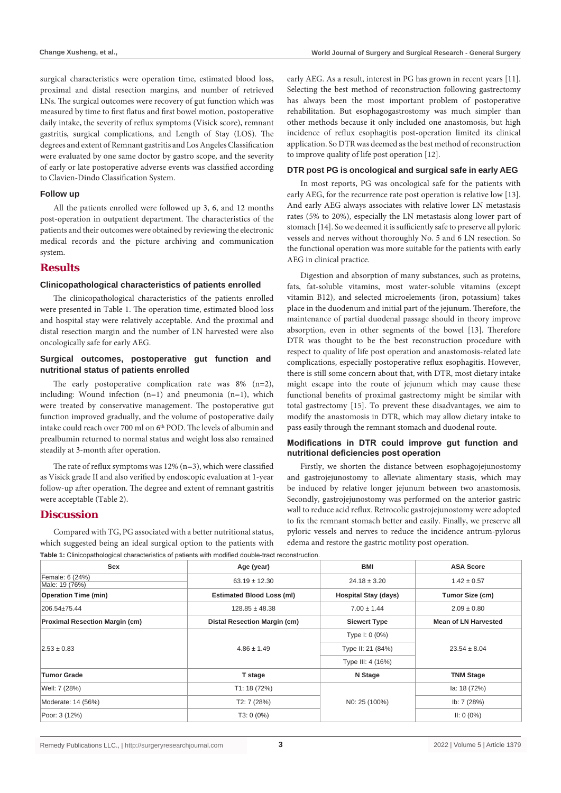surgical characteristics were operation time, estimated blood loss, proximal and distal resection margins, and number of retrieved LNs. The surgical outcomes were recovery of gut function which was measured by time to first flatus and first bowel motion, postoperative daily intake, the severity of reflux symptoms (Visick score), remnant gastritis, surgical complications, and Length of Stay (LOS). The degrees and extent of Remnant gastritis and Los Angeles Classification were evaluated by one same doctor by gastro scope, and the severity of early or late postoperative adverse events was classified according to Clavien-Dindo Classification System.

#### **Follow up**

All the patients enrolled were followed up 3, 6, and 12 months post-operation in outpatient department. The characteristics of the patients and their outcomes were obtained by reviewing the electronic medical records and the picture archiving and communication system.

## **Results**

#### **Clinicopathological characteristics of patients enrolled**

The clinicopathological characteristics of the patients enrolled were presented in Table 1. The operation time, estimated blood loss and hospital stay were relatively acceptable. And the proximal and distal resection margin and the number of LN harvested were also oncologically safe for early AEG.

## **Surgical outcomes, postoperative gut function and nutritional status of patients enrolled**

The early postoperative complication rate was 8% (n=2), including: Wound infection (n=1) and pneumonia (n=1), which were treated by conservative management. The postoperative gut function improved gradually, and the volume of postoperative daily intake could reach over 700 ml on 6<sup>th</sup> POD. The levels of albumin and prealbumin returned to normal status and weight loss also remained steadily at 3-month after operation.

The rate of reflux symptoms was 12% (n=3), which were classified as Visick grade II and also verified by endoscopic evaluation at 1-year follow-up after operation. The degree and extent of remnant gastritis were acceptable (Table 2).

## **Discussion**

Compared with TG, PG associated with a better nutritional status, which suggested being an ideal surgical option to the patients with

early AEG. As a result, interest in PG has grown in recent years [11]. Selecting the best method of reconstruction following gastrectomy has always been the most important problem of postoperative rehabilitation. But esophagogastrostomy was much simpler than other methods because it only included one anastomosis, but high incidence of reflux esophagitis post-operation limited its clinical application. So DTR was deemed as the best method of reconstruction to improve quality of life post operation [12].

#### **DTR post PG is oncological and surgical safe in early AEG**

In most reports, PG was oncological safe for the patients with early AEG, for the recurrence rate post operation is relative low [13]. And early AEG always associates with relative lower LN metastasis rates (5% to 20%), especially the LN metastasis along lower part of stomach [14]. So we deemed it is sufficiently safe to preserve all pyloric vessels and nerves without thoroughly No. 5 and 6 LN resection. So the functional operation was more suitable for the patients with early AEG in clinical practice.

Digestion and absorption of many substances, such as proteins, fats, fat-soluble vitamins, most water-soluble vitamins (except vitamin B12), and selected microelements (iron, potassium) takes place in the duodenum and initial part of the jejunum. Therefore, the maintenance of partial duodenal passage should in theory improve absorption, even in other segments of the bowel [13]. Therefore DTR was thought to be the best reconstruction procedure with respect to quality of life post operation and anastomosis-related late complications, especially postoperative reflux esophagitis. However, there is still some concern about that, with DTR, most dietary intake might escape into the route of jejunum which may cause these functional benefits of proximal gastrectomy might be similar with total gastrectomy [15]. To prevent these disadvantages, we aim to modify the anastomosis in DTR, which may allow dietary intake to pass easily through the remnant stomach and duodenal route.

## **Modifications in DTR could improve gut function and nutritional deficiencies post operation**

Firstly, we shorten the distance between esophagojejunostomy and gastrojejunostomy to alleviate alimentary stasis, which may be induced by relative longer jejunum between two anastomosis. Secondly, gastrojejunostomy was performed on the anterior gastric wall to reduce acid reflux. Retrocolic gastrojejunostomy were adopted to fix the remnant stomach better and easily. Finally, we preserve all pyloric vessels and nerves to reduce the incidence antrum-pylorus edema and restore the gastric motility post operation.

**Table 1:** Clinicopathological characteristics of patients with modified double-tract reconstruction.

| Sex                                   | Age (year)                            | <b>BMI</b>                  | <b>ASA Score</b>            |
|---------------------------------------|---------------------------------------|-----------------------------|-----------------------------|
| Female: 6 (24%)<br>Male: 19 (76%)     | $63.19 \pm 12.30$                     | $24.18 \pm 3.20$            | $1.42 \pm 0.57$             |
| <b>Operation Time (min)</b>           | <b>Estimated Blood Loss (ml)</b>      | <b>Hospital Stay (days)</b> | Tumor Size (cm)             |
| 206.54±75.44                          | $128.85 \pm 48.38$<br>$7.00 \pm 1.44$ |                             | $2.09 \pm 0.80$             |
| <b>Proximal Resection Margin (cm)</b> | Distal Resection Margin (cm)          | <b>Siewert Type</b>         | <b>Mean of LN Harvested</b> |
| $2.53 \pm 0.83$                       | $4.86 \pm 1.49$                       | Type I: 0 (0%)              | $23.54 \pm 8.04$            |
|                                       |                                       | Type II: 21 (84%)           |                             |
|                                       |                                       | Type III: 4 (16%)           |                             |
| <b>Tumor Grade</b>                    | T stage                               | N Stage                     | <b>TNM Stage</b>            |
| Well: 7 (28%)                         | T1: 18(72%)                           |                             | la: 18 (72%)                |
| Moderate: 14 (56%)                    | T2: 7 (28%)                           | NO: 25 (100%)               | lb: 7 (28%)                 |
| Poor: 3 (12%)                         | $T3:0(0\%)$                           |                             | $II: 0 (0\%)$               |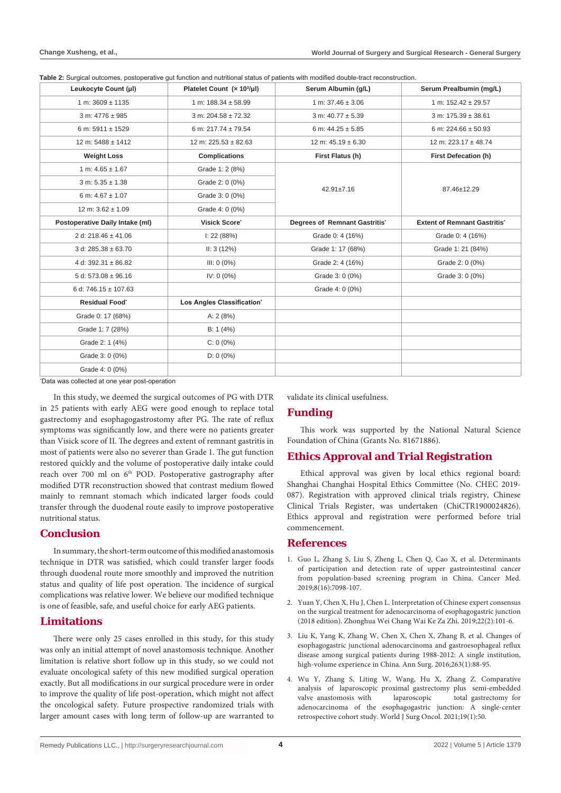**Table 2:** Surgical outcomes, postoperative gut function and nutritional status of patients with modified double-tract reconstruction

| Leukocyte Count (µl)             | Platelet Count (x 10 <sup>3</sup> /µl) | Serum Albumin (g/L)           | Serum Prealbumin (mg/L)             |
|----------------------------------|----------------------------------------|-------------------------------|-------------------------------------|
| 1 m: $3609 \pm 1135$             | 1 m: $188.34 \pm 58.99$                | 1 m: $37.46 \pm 3.06$         | 1 m: $152.42 \pm 29.57$             |
| 3 m: $4776 \pm 985$              | $3 m: 204.58 \pm 72.32$                | 3 m: $40.77 \pm 5.39$         | $3 m: 175.39 \pm 38.61$             |
| 6 m: $5911 \pm 1529$             | 6 m: $217.74 \pm 79.54$                | 6 m: $44.25 \pm 5.85$         | 6 m: 224.66 $\pm$ 50.93             |
| $12 m: 5488 \pm 1412$            | 12 m: $225.53 \pm 82.63$               | 12 m: $45.19 \pm 6.30$        | 12 m: 223.17 ± 48.74                |
| <b>Weight Loss</b>               | <b>Complications</b>                   | First Flatus (h)              | <b>First Defecation (h)</b>         |
| 1 m: $4.65 \pm 1.67$             | Grade 1: 2 (8%)                        | $42.91 \pm 7.16$              | 87.46±12.29                         |
| $3 m: 5.35 \pm 1.38$             | Grade 2: 0 (0%)                        |                               |                                     |
| 6 m: $4.67 \pm 1.07$             | Grade 3: 0 (0%)                        |                               |                                     |
| $12 \text{ m}$ : 3.62 $\pm$ 1.09 | Grade 4: 0 (0%)                        |                               |                                     |
| Postoperative Daily Intake (ml)  | Visick Score <sup>®</sup>              | Degrees of Remnant Gastritis' | <b>Extent of Remnant Gastritis'</b> |
| 2 d: 218.46 $\pm$ 41.06          | I: 22 (88%)                            | Grade 0: 4 (16%)              | Grade 0: 4 (16%)                    |
| 3 d: $285.38 \pm 63.70$          | II: 3(12%)                             | Grade 1: 17 (68%)             | Grade 1: 21 (84%)                   |
| 4 d: 392.31 $\pm$ 86.82          | III: 0 (0%)                            | Grade 2: 4 (16%)              | Grade 2: 0 (0%)                     |
| 5 d: $573.08 \pm 96.16$          | IV: 0 (0%)                             | Grade 3: 0 (0%)               | Grade 3: 0 (0%)                     |
| 6 d: 746.15 $\pm$ 107.63         |                                        | Grade 4: 0 (0%)               |                                     |
| <b>Residual Food</b>             | Los Angles Classification'             |                               |                                     |
| Grade 0: 17 (68%)                | A: $2(8%)$                             |                               |                                     |
| Grade 1: 7 (28%)                 | B: $1(4%)$                             |                               |                                     |
| Grade 2: 1 (4%)                  | $C: 0(0\%)$                            |                               |                                     |
| Grade 3: 0 (0%)                  | $D: 0 (0\%)$                           |                               |                                     |
| Grade 4: 0 (0%)                  |                                        |                               |                                     |

\* Data was collected at one year post-operation

In this study, we deemed the surgical outcomes of PG with DTR in 25 patients with early AEG were good enough to replace total gastrectomy and esophagogastrostomy after PG. The rate of reflux symptoms was significantly low, and there were no patients greater than Visick score of II. The degrees and extent of remnant gastritis in most of patients were also no severer than Grade 1. The gut function restored quickly and the volume of postoperative daily intake could reach over 700 ml on 6<sup>th</sup> POD. Postoperative gastrography after modified DTR reconstruction showed that contrast medium flowed mainly to remnant stomach which indicated larger foods could transfer through the duodenal route easily to improve postoperative nutritional status.

## **Conclusion**

In summary, the short-term outcome of this modified anastomosis technique in DTR was satisfied, which could transfer larger foods through duodenal route more smoothly and improved the nutrition status and quality of life post operation. The incidence of surgical complications was relative lower. We believe our modified technique is one of feasible, safe, and useful choice for early AEG patients.

## **Limitations**

There were only 25 cases enrolled in this study, for this study was only an initial attempt of novel anastomosis technique. Another limitation is relative short follow up in this study, so we could not evaluate oncological safety of this new modified surgical operation exactly. But all modifications in our surgical procedure were in order to improve the quality of life post-operation, which might not affect the oncological safety. Future prospective randomized trials with larger amount cases with long term of follow-up are warranted to validate its clinical usefulness.

## **Funding**

This work was supported by the National Natural Science Foundation of China (Grants No. 81671886).

## **Ethics Approval and Trial Registration**

Ethical approval was given by local ethics regional board: Shanghai Changhai Hospital Ethics Committee (No. CHEC 2019- 087). Registration with approved clinical trials registry, Chinese Clinical Trials Register, was undertaken (ChiCTR1900024826). Ethics approval and registration were performed before trial commencement.

## **References**

- 1. [Guo L, Zhang S, Liu S, Zheng L, Chen Q, Cao X, et al. Determinants](https://pubmed.ncbi.nlm.nih.gov/31560836/)  [of participation and detection rate of upper gastrointestinal cancer](https://pubmed.ncbi.nlm.nih.gov/31560836/)  [from population-based screening program in China. Cancer Med.](https://pubmed.ncbi.nlm.nih.gov/31560836/)  [2019;8\(16\):7098-107.](https://pubmed.ncbi.nlm.nih.gov/31560836/)
- 2. [Yuan Y, Chen X, Hu J, Chen L. Interpretation of Chinese expert consensus](https://pubmed.ncbi.nlm.nih.gov/30799531/)  [on the surgical treatment for adenocarcinoma of esophagogastric junction](https://pubmed.ncbi.nlm.nih.gov/30799531/)  [\(2018 edition\). Zhonghua Wei Chang Wai Ke Za Zhi. 2019;22\(2\):101-6.](https://pubmed.ncbi.nlm.nih.gov/30799531/)
- 3. [Liu K, Yang K, Zhang W, Chen X, Chen X, Zhang B, et al. Changes of](https://pubmed.ncbi.nlm.nih.gov/25647058/)  [esophagogastric junctional adenocarcinoma and gastroesophageal reflux](https://pubmed.ncbi.nlm.nih.gov/25647058/)  [disease among surgical patients during 1988-2012: A single institution,](https://pubmed.ncbi.nlm.nih.gov/25647058/)  [high-volume experience in China. Ann Surg. 2016;263\(1\):88-95.](https://pubmed.ncbi.nlm.nih.gov/25647058/)
- 4. [Wu Y, Zhang S, Liting W, Wang, Hu X, Zhang Z. Comparative](https://pubmed.ncbi.nlm.nih.gov/33588854/)  [analysis of laparoscopic](https://pubmed.ncbi.nlm.nih.gov/33588854/) proximal gastrectomy plus semi-embedded valve anastomosis with [laparoscopic](https://pubmed.ncbi.nlm.nih.gov/33588854/) total gastrectomy for [adenocarcinoma of the esophagogastric junction: A single-center](https://pubmed.ncbi.nlm.nih.gov/33588854/)  [retrospective cohort study. World J Surg Oncol. 2021;19\(1\):50.](https://pubmed.ncbi.nlm.nih.gov/33588854/)